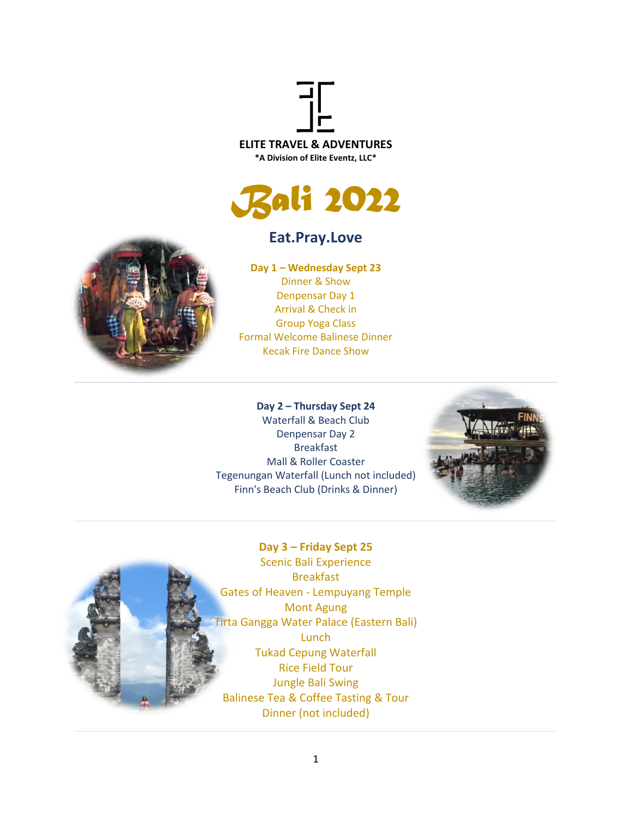



## **Eat.Pray.Love**



**Day 1 – Wednesday Sept 23** Dinner & Show Denpensar Day 1 Arrival & Check in Group Yoga Class Formal Welcome Balinese Dinner Kecak Fire Dance Show

## **Day 2 – Thursday Sept 24**

Waterfall & Beach Club Denpensar Day 2 Breakfast Mall & Roller Coaster Tegenungan Waterfall (Lunch not included) Finn's Beach Club (Drinks & Dinner)